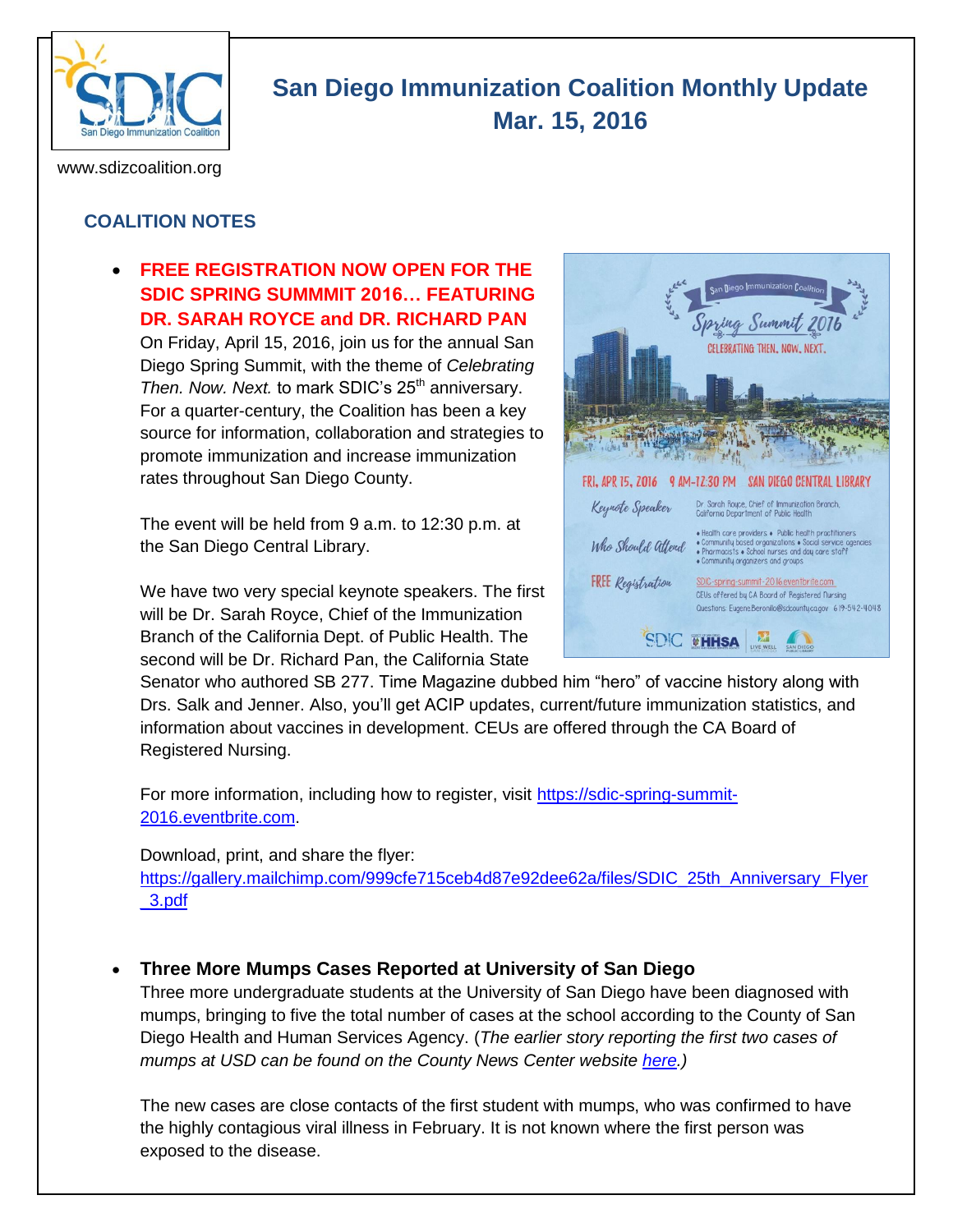

# **San Diego Immunization Coalition Monthly Update Mar. 15, 2016**

www.sdizcoalition.org

# **COALITION NOTES**

### **FREE REGISTRATION NOW OPEN FOR THE SDIC SPRING SUMMMIT 2016… FEATURING DR. SARAH ROYCE and DR. RICHARD PAN**

On Friday, April 15, 2016, join us for the annual San Diego Spring Summit, with the theme of *Celebrating Then. Now. Next.* to mark SDIC's 25<sup>th</sup> anniversary. For a quarter-century, the Coalition has been a key source for information, collaboration and strategies to promote immunization and increase immunization rates throughout San Diego County.

The event will be held from 9 a.m. to 12:30 p.m. at the San Diego Central Library.

We have two very special keynote speakers. The first will be Dr. Sarah Royce, Chief of the Immunization Branch of the California Dept. of Public Health. The second will be Dr. Richard Pan, the California State



Senator who authored SB 277. Time Magazine dubbed him "hero" of vaccine history along with Drs. Salk and Jenner. Also, you'll get ACIP updates, current/future immunization statistics, and information about vaccines in development. CEUs are offered through the CA Board of Registered Nursing.

For more information, including how to register, visit [https://sdic-spring-summit-](https://sdic-spring-summit-2016.eventbrite.com/)[2016.eventbrite.com.](https://sdic-spring-summit-2016.eventbrite.com/)

Download, print, and share the flyer:

[https://gallery.mailchimp.com/999cfe715ceb4d87e92dee62a/files/SDIC\\_25th\\_Anniversary\\_Flyer](https://gallery.mailchimp.com/999cfe715ceb4d87e92dee62a/files/SDIC_25th_Anniversary_Flyer_3.pdf) [\\_3.pdf](https://gallery.mailchimp.com/999cfe715ceb4d87e92dee62a/files/SDIC_25th_Anniversary_Flyer_3.pdf)

#### **Three More Mumps Cases Reported at University of San Diego**

Three more undergraduate students at the University of San Diego have been diagnosed with mumps, bringing to five the total number of cases at the school according to the County of San Diego Health and Human Services Agency. (*The earlier story reporting the first two cases of mumps at USD can be found on the County News Center website [here.](http://www.countynewscenter.com/news/mumps-cases-reported-university-san-diego))*

The new cases are close contacts of the first student with mumps, who was confirmed to have the highly contagious viral illness in February. It is not known where the first person was exposed to the disease.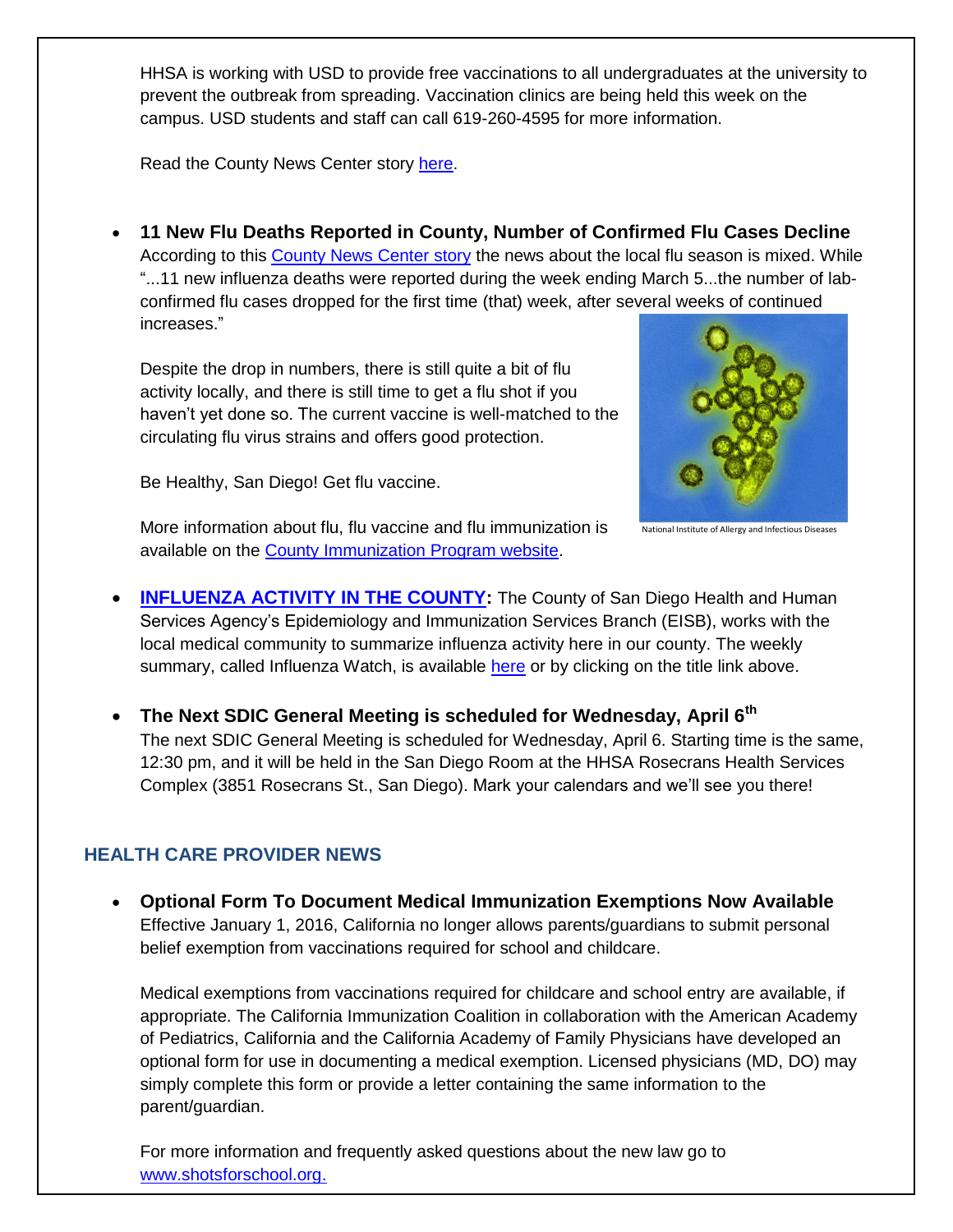HHSA is working with USD to provide free vaccinations to all undergraduates at the university to prevent the outbreak from spreading. Vaccination clinics are being held this week on the campus. USD students and staff can call 619-260-4595 for more information.

Read the County News Center story [here.](http://www.countynewscenter.com/news/three-more-mumps-cases-reported-usd)

 **11 New Flu Deaths Reported in County, Number of Confirmed Flu Cases Decline** According to this [County News Center story](http://www.countynewscenter.com/news/11-new-flu-deaths-reported) the news about the local flu season is mixed. While "...11 new influenza deaths were reported during the week ending March 5...the number of labconfirmed flu cases dropped for the first time (that) week, after several weeks of continued increases."

Despite the drop in numbers, there is still quite a bit of flu activity locally, and there is still time to get a flu shot if you haven't yet done so. The current vaccine is well-matched to the circulating flu virus strains and offers good protection.



Be Healthy, San Diego! Get flu vaccine.

National Institute of Allergy and Infectious Diseases

More information about flu, flu vaccine and flu immunization is available on the [County Immunization Program website.](http://www.sdiz.org/Community/Features/Flu-2015-2016.html)

- **[INFLUENZA ACTIVITY IN THE COUNTY:](http://www.sandiegocounty.gov/content/dam/sdc/hhsa/programs/phs/documents/InfluenzaWatch.pdf)** The County of San Diego Health and Human Services Agency's Epidemiology and Immunization Services Branch (EISB), works with the local medical community to summarize influenza activity here in our county. The weekly summary, called Influenza Watch, is available [here](http://www.sandiegocounty.gov/content/dam/sdc/hhsa/programs/phs/documents/InfluenzaWatch.pdf) or by clicking on the title link above.
- **The Next SDIC General Meeting is scheduled for Wednesday, April 6th**  The next SDIC General Meeting is scheduled for Wednesday, April 6. Starting time is the same, 12:30 pm, and it will be held in the San Diego Room at the HHSA Rosecrans Health Services Complex (3851 Rosecrans St., San Diego). Mark your calendars and we'll see you there!

# **HEALTH CARE PROVIDER NEWS**

 **Optional Form To Document Medical Immunization Exemptions Now Available** Effective January 1, 2016, California no longer allows parents/guardians to submit personal belief exemption from vaccinations required for school and childcare.

Medical exemptions from vaccinations required for childcare and school entry are available, if appropriate. The California Immunization Coalition in collaboration with the American Academy of Pediatrics, California and the California Academy of Family Physicians have developed an optional form for use in documenting a medical exemption. Licensed physicians (MD, DO) may simply complete this form or provide a letter containing the same information to the parent/guardian.

For more information and frequently asked questions about the new law go to [www.shotsforschool.org.](http://www.shotsforschool.org/)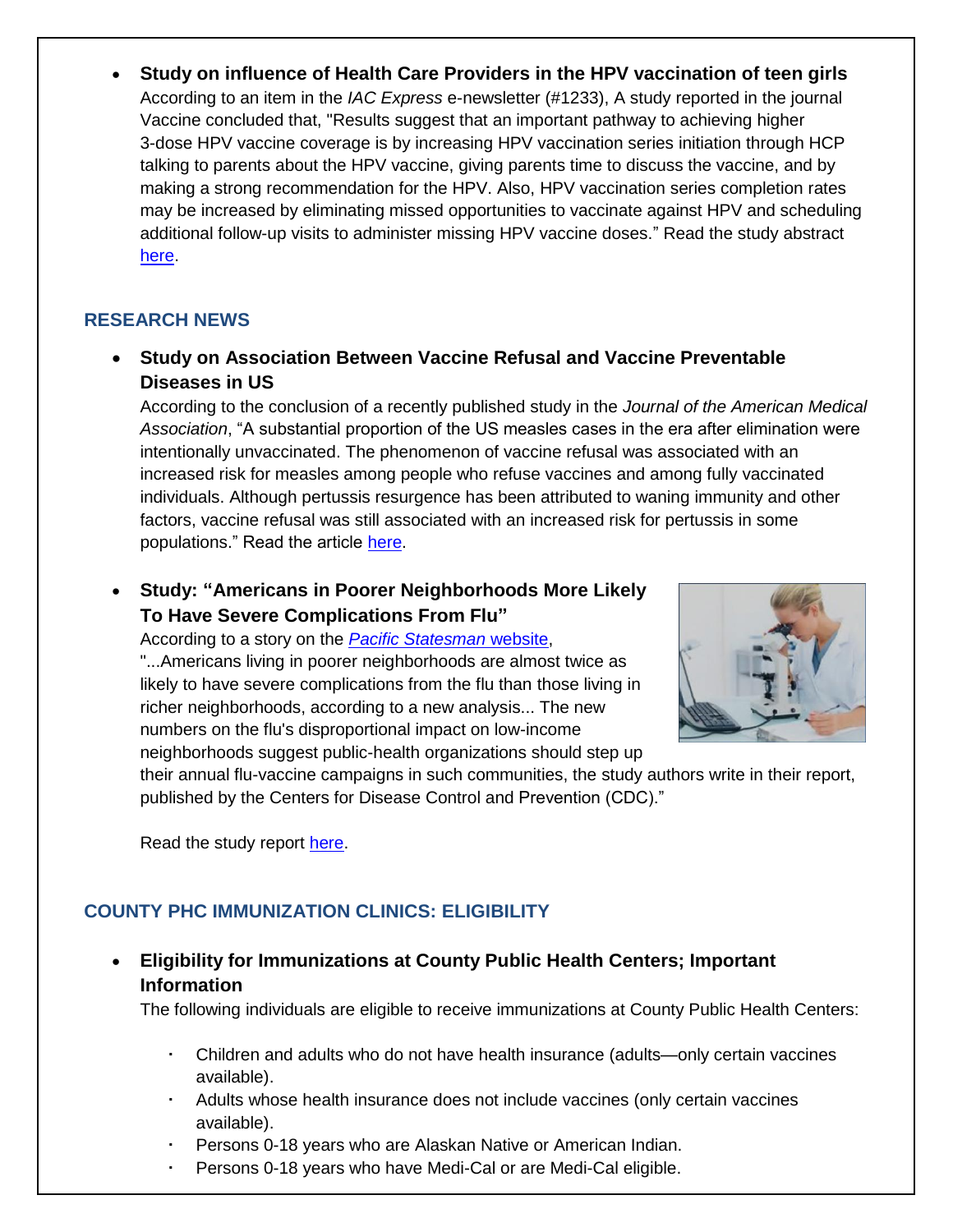**Study on influence of Health Care Providers in the HPV vaccination of teen girls** According to an item in the *IAC Express* e-newsletter (#1233), A study reported in the journal Vaccine concluded that, "Results suggest that an important pathway to achieving higher 3-dose HPV vaccine coverage is by increasing HPV vaccination series initiation through HCP talking to parents about the HPV vaccine, giving parents time to discuss the vaccine, and by making a strong recommendation for the HPV. Also, HPV vaccination series completion rates may be increased by eliminating missed opportunities to vaccinate against HPV and scheduling additional follow-up visits to administer missing HPV vaccine doses." Read the study abstract [here.](http://www.ncbi.nlm.nih.gov/pubmed/26854907)

## **RESEARCH NEWS**

 **Study on Association Between Vaccine Refusal and Vaccine Preventable Diseases in US**

According to the conclusion of a recently published study in the *Journal of the American Medical Association*, "A substantial proportion of the US measles cases in the era after elimination were intentionally unvaccinated. The phenomenon of vaccine refusal was associated with an increased risk for measles among people who refuse vaccines and among fully vaccinated individuals. Although pertussis resurgence has been attributed to waning immunity and other factors, vaccine refusal was still associated with an increased risk for pertussis in some populations." Read the article [here.](http://jama.jamanetwork.com/article.aspx?articleid=2503179)

# **Study: "Americans in Poorer Neighborhoods More Likely To Have Severe Complications From Flu"**

According to a story on the *[Pacific Statesman](http://www.psmag.com/health-and-behavior/the-flu-hits-harder-in-poorer-neighborhoods)* website, "...Americans living in poorer neighborhoods are almost twice as likely to have severe complications from the flu than those living in richer neighborhoods, according to a new analysis... The new numbers on the flu's disproportional impact on low-income neighborhoods suggest public-health organizations should step up



their annual flu-vaccine campaigns in such communities, the study authors write in their report, published by the Centers for Disease Control and Prevention (CDC)."

Read the study report [here.](http://www.cdc.gov/mmwr/volumes/65/wr/mm6505a1.htm)

# **COUNTY PHC IMMUNIZATION CLINICS: ELIGIBILITY**

 **Eligibility for Immunizations at County Public Health Centers; Important Information** 

The following individuals are eligible to receive immunizations at County Public Health Centers:

- Children and adults who do not have health insurance (adults—only certain vaccines available).
- Adults whose health insurance does not include vaccines (only certain vaccines available).
- Persons 0-18 years who are Alaskan Native or American Indian.
- Persons 0-18 years who have Medi-Cal or are Medi-Cal eligible.